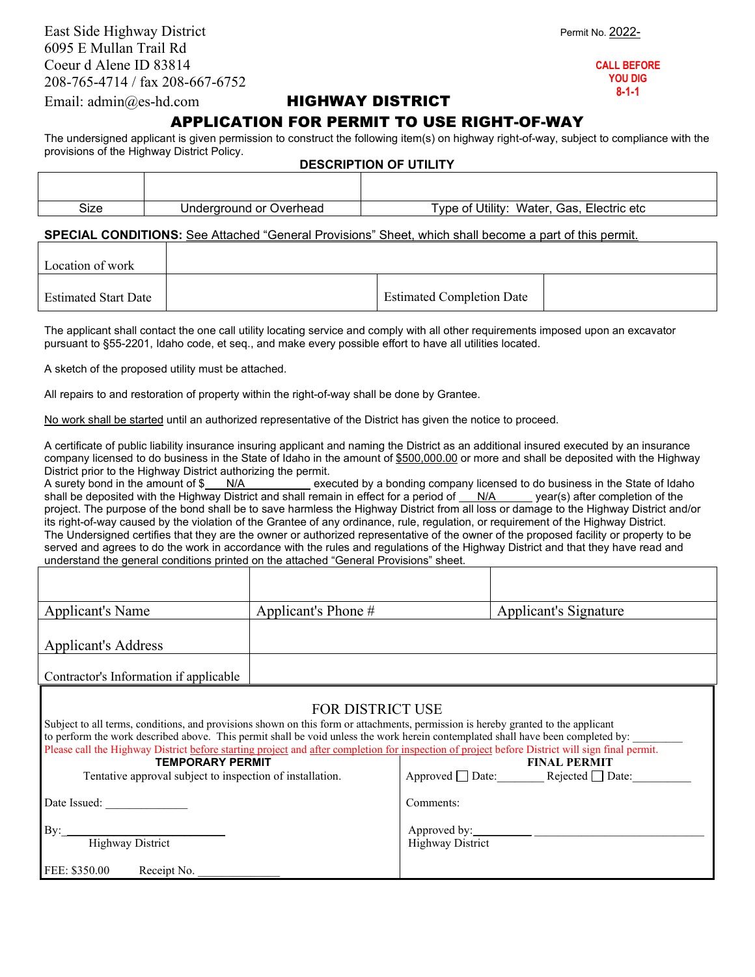East Side Highway District **Permit No. 2022-**6095 E Mullan Trail Rd Coeur d Alene ID 83814 208-765-4714 / fax 208-667-6752

**CALL BEFORE YOU DIG 8-1-1**

## Email: admin@es-hd.comHIGHWAY DISTRICT

## APPLICATION FOR PERMIT TO USE RIGHT-OF-WAY

The undersigned applicant is given permission to construct the following item(s) on highway right-of-way, subject to compliance with the provisions of the Highway District Policy. **DESCRIPTION OF UTILITY**

| _ _ _ _ |                         |                                              |  |  |  |
|---------|-------------------------|----------------------------------------------|--|--|--|
|         |                         |                                              |  |  |  |
| Size    | Underground or Overhead | Type of Utility:<br>Water, Gas, Electric etc |  |  |  |
|         |                         |                                              |  |  |  |

## **SPECIAL CONDITIONS:** See Attached "General Provisions" Sheet, which shall become a part of this permit.

| Location of work            |                                  |  |
|-----------------------------|----------------------------------|--|
| <b>Estimated Start Date</b> | <b>Estimated Completion Date</b> |  |

The applicant shall contact the one call utility locating service and comply with all other requirements imposed upon an excavator pursuant to §55-2201, Idaho code, et seq., and make every possible effort to have all utilities located.

A sketch of the proposed utility must be attached.

All repairs to and restoration of property within the right-of-way shall be done by Grantee.

No work shall be started until an authorized representative of the District has given the notice to proceed.

A certificate of public liability insurance insuring applicant and naming the District as an additional insured executed by an insurance company licensed to do business in the State of Idaho in the amount of \$500,000.00 or more and shall be deposited with the Highway District prior to the Highway District authorizing the permit.

A surety bond in the amount of \$ N/A executed by a bonding company licensed to do business in the State of Idaho shall be deposited with the Highway District and shall remain in effect for a period of N/A year(s) after completion of the project. The purpose of the bond shall be to save harmless the Highway District from all loss or damage to the Highway District and/or its right-of-way caused by the violation of the Grantee of any ordinance, rule, regulation, or requirement of the Highway District. The Undersigned certifies that they are the owner or authorized representative of the owner of the proposed facility or property to be served and agrees to do the work in accordance with the rules and regulations of the Highway District and that they have read and understand the general conditions printed on the attached "General Provisions" sheet.

| Applicant's Name                                                                                                                                                                                                                                                                                                                                                                                                                                                                                                                                                                                                  | Applicant's Phone $#$ |                         | Applicant's Signature |  |  |  |
|-------------------------------------------------------------------------------------------------------------------------------------------------------------------------------------------------------------------------------------------------------------------------------------------------------------------------------------------------------------------------------------------------------------------------------------------------------------------------------------------------------------------------------------------------------------------------------------------------------------------|-----------------------|-------------------------|-----------------------|--|--|--|
| <b>Applicant's Address</b>                                                                                                                                                                                                                                                                                                                                                                                                                                                                                                                                                                                        |                       |                         |                       |  |  |  |
| Contractor's Information if applicable                                                                                                                                                                                                                                                                                                                                                                                                                                                                                                                                                                            |                       |                         |                       |  |  |  |
| <b>FOR DISTRICT USE</b><br>Subject to all terms, conditions, and provisions shown on this form or attachments, permission is hereby granted to the applicant<br>to perform the work described above. This permit shall be void unless the work herein contemplated shall have been completed by:<br>Please call the Highway District before starting project and after completion for inspection of project before District will sign final permit.<br><b>TEMPORARY PERMIT</b><br><b>FINAL PERMIT</b><br>Approved $\Box$ Date: Rejected $\Box$ Date:<br>Tentative approval subject to inspection of installation. |                       |                         |                       |  |  |  |
| Date Issued:                                                                                                                                                                                                                                                                                                                                                                                                                                                                                                                                                                                                      |                       | Comments:               |                       |  |  |  |
| $\rm\,By:$<br><b>Highway District</b>                                                                                                                                                                                                                                                                                                                                                                                                                                                                                                                                                                             |                       | <b>Highway District</b> |                       |  |  |  |

FEE: \$350.00 Receipt No.